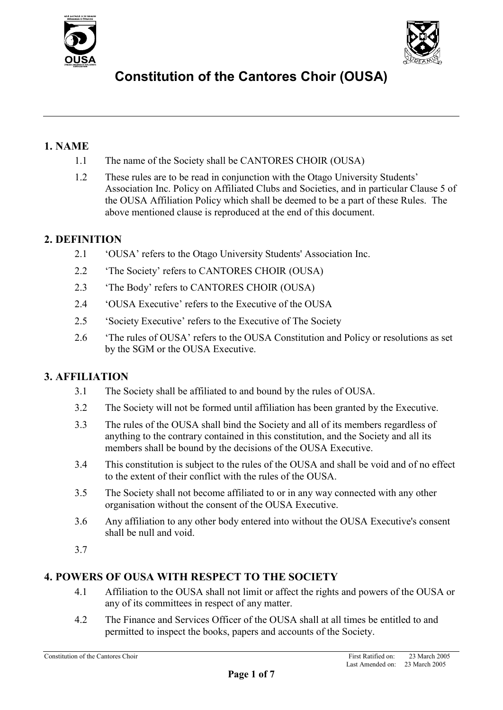



### **1. NAME**

- 1.1 The name of the Society shall be CANTORES CHOIR (OUSA)
- 1.2 These rules are to be read in conjunction with the Otago University Students' Association Inc. Policy on Affiliated Clubs and Societies, and in particular Clause 5 of the OUSA Affiliation Policy which shall be deemed to be a part of these Rules. The above mentioned clause is reproduced at the end of this document.

### **2. DEFINITION**

- 2.1 'OUSA' refers to the Otago University Students' Association Inc.
- 2.2 'The Society' refers to CANTORES CHOIR (OUSA)
- 2.3 'The Body' refers to CANTORES CHOIR (OUSA)
- 2.4 'OUSA Executive' refers to the Executive of the OUSA
- 2.5 'Society Executive' refers to the Executive of The Society
- 2.6 'The rules of OUSA' refers to the OUSA Constitution and Policy or resolutions as set by the SGM or the OUSA Executive.

### **3. AFFILIATION**

- 3.1 The Society shall be affiliated to and bound by the rules of OUSA.
- 3.2 The Society will not be formed until affiliation has been granted by the Executive.
- 3.3 The rules of the OUSA shall bind the Society and all of its members regardless of anything to the contrary contained in this constitution, and the Society and all its members shall be bound by the decisions of the OUSA Executive.
- 3.4 This constitution is subject to the rules of the OUSA and shall be void and of no effect to the extent of their conflict with the rules of the OUSA.
- 3.5 The Society shall not become affiliated to or in any way connected with any other organisation without the consent of the OUSA Executive.
- 3.6 Any affiliation to any other body entered into without the OUSA Executive's consent shall be null and void.
- 3.7

### **4. POWERS OF OUSA WITH RESPECT TO THE SOCIETY**

- 4.1 Affiliation to the OUSA shall not limit or affect the rights and powers of the OUSA or any of its committees in respect of any matter.
- 4.2 The Finance and Services Officer of the OUSA shall at all times be entitled to and permitted to inspect the books, papers and accounts of the Society.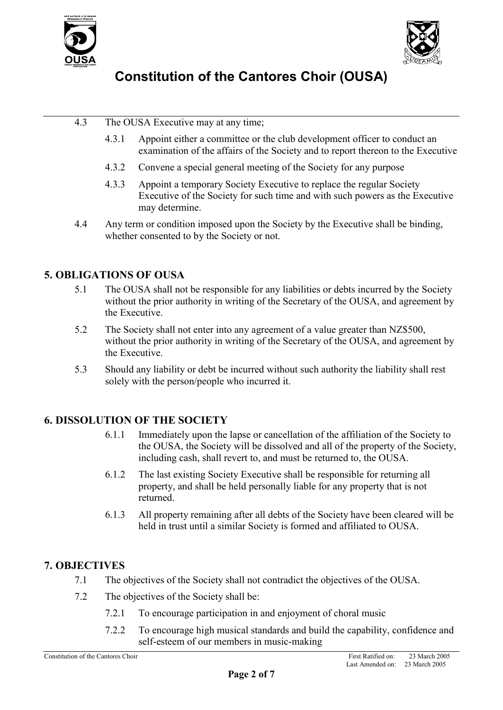



- 4.3 The OUSA Executive may at any time;
	- 4.3.1 Appoint either a committee or the club development officer to conduct an examination of the affairs of the Society and to report thereon to the Executive
	- 4.3.2 Convene a special general meeting of the Society for any purpose
	- 4.3.3 Appoint a temporary Society Executive to replace the regular Society Executive of the Society for such time and with such powers as the Executive may determine.
- 4.4 Any term or condition imposed upon the Society by the Executive shall be binding, whether consented to by the Society or not.

### **5. OBLIGATIONS OF OUSA**

- 5.1 The OUSA shall not be responsible for any liabilities or debts incurred by the Society without the prior authority in writing of the Secretary of the OUSA, and agreement by the Executive.
- 5.2 The Society shall not enter into any agreement of a value greater than NZ\$500, without the prior authority in writing of the Secretary of the OUSA, and agreement by the Executive.
- 5.3 Should any liability or debt be incurred without such authority the liability shall rest solely with the person/people who incurred it.

### **6. DISSOLUTION OF THE SOCIETY**

- 6.1.1 Immediately upon the lapse or cancellation of the affiliation of the Society to the OUSA, the Society will be dissolved and all of the property of the Society, including cash, shall revert to, and must be returned to, the OUSA.
- 6.1.2 The last existing Society Executive shall be responsible for returning all property, and shall be held personally liable for any property that is not returned.
- 6.1.3 All property remaining after all debts of the Society have been cleared will be held in trust until a similar Society is formed and affiliated to OUSA.

### **7. OBJECTIVES**

- 7.1 The objectives of the Society shall not contradict the objectives of the OUSA.
- 7.2 The objectives of the Society shall be:
	- 7.2.1 To encourage participation in and enjoyment of choral music
	- 7.2.2 To encourage high musical standards and build the capability, confidence and self-esteem of our members in music-making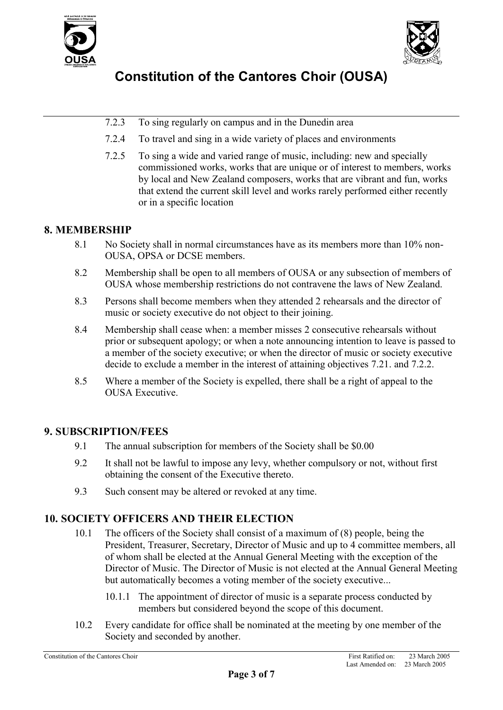



- 7.2.3 To sing regularly on campus and in the Dunedin area
- 7.2.4 To travel and sing in a wide variety of places and environments
- 7.2.5 To sing a wide and varied range of music, including: new and specially commissioned works, works that are unique or of interest to members, works by local and New Zealand composers, works that are vibrant and fun, works that extend the current skill level and works rarely performed either recently or in a specific location

### **8. MEMBERSHIP**

- 8.1 No Society shall in normal circumstances have as its members more than 10% non-OUSA, OPSA or DCSE members.
- 8.2 Membership shall be open to all members of OUSA or any subsection of members of OUSA whose membership restrictions do not contravene the laws of New Zealand.
- 8.3 Persons shall become members when they attended 2 rehearsals and the director of music or society executive do not object to their joining.
- 8.4 Membership shall cease when: a member misses 2 consecutive rehearsals without prior or subsequent apology; or when a note announcing intention to leave is passed to a member of the society executive; or when the director of music or society executive decide to exclude a member in the interest of attaining objectives 7.21. and 7.2.2.
- 8.5 Where a member of the Society is expelled, there shall be a right of appeal to the OUSA Executive.

### **9. SUBSCRIPTION/FEES**

- 9.1 The annual subscription for members of the Society shall be \$0.00
- 9.2 It shall not be lawful to impose any levy, whether compulsory or not, without first obtaining the consent of the Executive thereto.
- 9.3 Such consent may be altered or revoked at any time.

### **10. SOCIETY OFFICERS AND THEIR ELECTION**

- 10.1 The officers of the Society shall consist of a maximum of (8) people, being the President, Treasurer, Secretary, Director of Music and up to 4 committee members, all of whom shall be elected at the Annual General Meeting with the exception of the Director of Music. The Director of Music is not elected at the Annual General Meeting but automatically becomes a voting member of the society executive...
	- 10.1.1 The appointment of director of music is a separate process conducted by members but considered beyond the scope of this document.
- 10.2 Every candidate for office shall be nominated at the meeting by one member of the Society and seconded by another.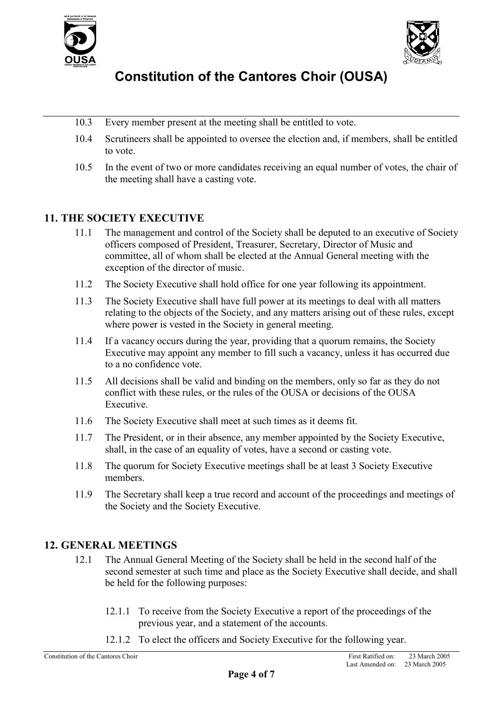



- 10.3 Every member present at the meeting shall be entitled to vote.
- 10.4 Scrutineers shall be appointed to oversee the election and, if members, shall be entitled to vote.
- 10.5 In the event of two or more candidates receiving an equal number of votes, the chair of the meeting shall have a casting vote.

### **11. THE SOCIETY EXECUTIVE**

- 11.1 The management and control of the Society shall be deputed to an executive of Society officers composed of President, Treasurer, Secretary, Director of Music and committee, all of whom shall be elected at the Annual General meeting with the exception of the director of music.
- 11.2 The Society Executive shall hold office for one year following its appointment.
- 11.3 The Society Executive shall have full power at its meetings to deal with all matters relating to the objects of the Society, and any matters arising out of these rules, except where power is vested in the Society in general meeting.
- 11.4 If a vacancy occurs during the year, providing that a quorum remains, the Society Executive may appoint any member to fill such a vacancy, unless it has occurred due to a no confidence vote.
- 11.5 All decisions shall be valid and binding on the members, only so far as they do not conflict with these rules, or the rules of the OUSA or decisions of the OUSA Executive.
- 11.6 The Society Executive shall meet at such times as it deems fit.
- 11.7 The President, or in their absence, any member appointed by the Society Executive, shall, in the case of an equality of votes, have a second or casting vote.
- 11.8 The quorum for Society Executive meetings shall be at least 3 Society Executive members.
- 11.9 The Secretary shall keep a true record and account of the proceedings and meetings of the Society and the Society Executive.

### **12. GENERAL MEETINGS**

- 12.1 The Annual General Meeting of the Society shall be held in the second half of the second semester at such time and place as the Society Executive shall decide, and shall be held for the following purposes:
	- 12.1.1 To receive from the Society Executive a report of the proceedings of the previous year, and a statement of the accounts.
	- 12.1.2 To elect the officers and Society Executive for the following year.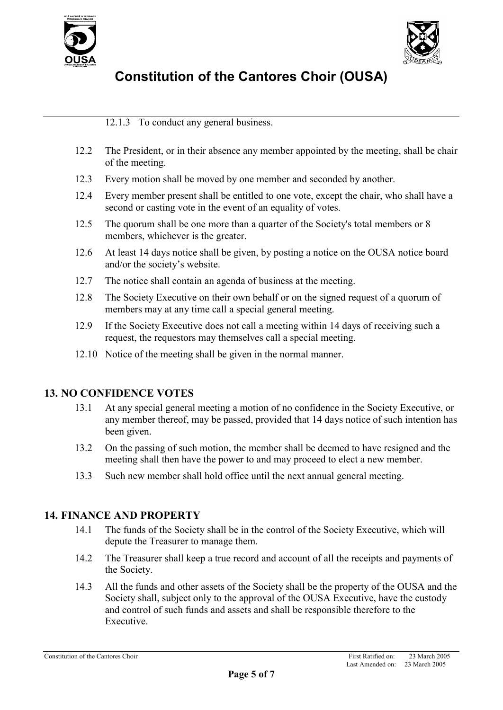



12.1.3 To conduct any general business.

- 12.2 The President, or in their absence any member appointed by the meeting, shall be chair of the meeting.
- 12.3 Every motion shall be moved by one member and seconded by another.
- 12.4 Every member present shall be entitled to one vote, except the chair, who shall have a second or casting vote in the event of an equality of votes.
- 12.5 The quorum shall be one more than a quarter of the Society's total members or 8 members, whichever is the greater.
- 12.6 At least 14 days notice shall be given, by posting a notice on the OUSA notice board and/or the society's website.
- 12.7 The notice shall contain an agenda of business at the meeting.
- 12.8 The Society Executive on their own behalf or on the signed request of a quorum of members may at any time call a special general meeting.
- 12.9 If the Society Executive does not call a meeting within 14 days of receiving such a request, the requestors may themselves call a special meeting.
- 12.10 Notice of the meeting shall be given in the normal manner.

### **13. NO CONFIDENCE VOTES**

- 13.1 At any special general meeting a motion of no confidence in the Society Executive, or any member thereof, may be passed, provided that 14 days notice of such intention has been given.
- 13.2 On the passing of such motion, the member shall be deemed to have resigned and the meeting shall then have the power to and may proceed to elect a new member.
- 13.3 Such new member shall hold office until the next annual general meeting.

### **14. FINANCE AND PROPERTY**

- 14.1 The funds of the Society shall be in the control of the Society Executive, which will depute the Treasurer to manage them.
- 14.2 The Treasurer shall keep a true record and account of all the receipts and payments of the Society.
- 14.3 All the funds and other assets of the Society shall be the property of the OUSA and the Society shall, subject only to the approval of the OUSA Executive, have the custody and control of such funds and assets and shall be responsible therefore to the Executive.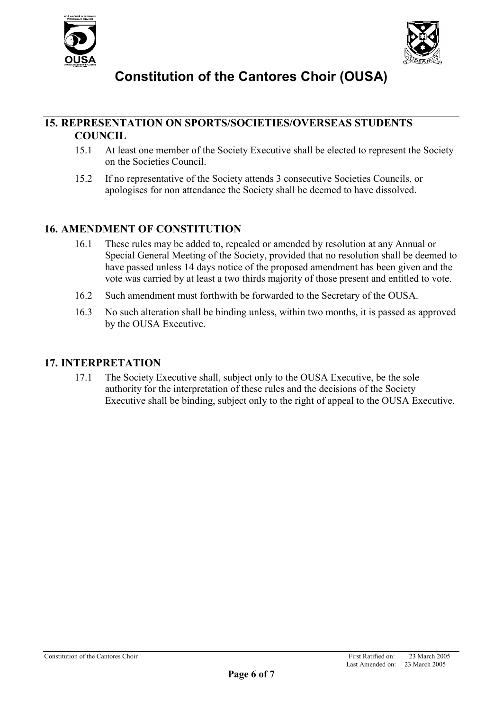



### **15. REPRESENTATION ON SPORTS/SOCIETIES/OVERSEAS STUDENTS COUNCIL**

- 15.1 At least one member of the Society Executive shall be elected to represent the Society on the Societies Council.
- 15.2 If no representative of the Society attends 3 consecutive Societies Councils, or apologises for non attendance the Society shall be deemed to have dissolved.

### **16. AMENDMENT OF CONSTITUTION**

- 16.1 These rules may be added to, repealed or amended by resolution at any Annual or Special General Meeting of the Society, provided that no resolution shall be deemed to have passed unless 14 days notice of the proposed amendment has been given and the vote was carried by at least a two thirds majority of those present and entitled to vote.
- 16.2 Such amendment must forthwith be forwarded to the Secretary of the OUSA.
- 16.3 No such alteration shall be binding unless, within two months, it is passed as approved by the OUSA Executive.

### **17. INTERPRETATION**

17.1 The Society Executive shall, subject only to the OUSA Executive, be the sole authority for the interpretation of these rules and the decisions of the Society Executive shall be binding, subject only to the right of appeal to the OUSA Executive.